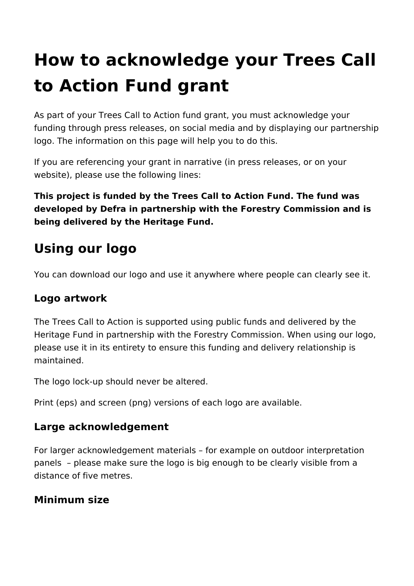# **How to acknowledge your Trees Call to Action Fund grant**

As part of your Trees Call to Action fund grant, you must acknowledge your funding through press releases, on social media and by displaying our partnership logo. The information on this page will help you to do this.

If you are referencing your grant in narrative (in press releases, or on your website), please use the following lines:

**This project is funded by the Trees Call to Action Fund. The fund was developed by Defra in partnership with the Forestry Commission and is being delivered by the Heritage Fund.**

# **Using our logo**

You can download our logo and use it anywhere where people can clearly see it.

### **Logo artwork**

The Trees Call to Action is supported using public funds and delivered by the Heritage Fund in partnership with the Forestry Commission. When using our logo, please use it in its entirety to ensure this funding and delivery relationship is maintained.

The logo lock-up should never be altered.

Print (eps) and screen (png) versions of each logo are available.

### **Large acknowledgement**

For larger acknowledgement materials – for example on outdoor interpretation panels – please make sure the logo is big enough to be clearly visible from a distance of five metres.

## **Minimum size**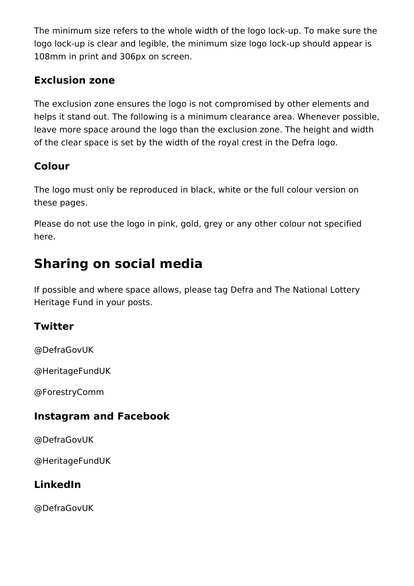The minimum size refers to the whole width of the logo lock-up. To make sure the logo lock-up is clear and legible, the minimum size logo lock-up should appear is 108mm in print and 306px on screen.

#### **Exclusion zone**

The exclusion zone ensures the logo is not compromised by other elements and helps it stand out. The following is a minimum clearance area. Whenever possible, leave more space around the logo than the exclusion zone. The height and width of the clear space is set by the width of the royal crest in the Defra logo.

### **Colour**

The logo must only be reproduced in black, white or the full colour version on these pages.

Please do not use the logo in pink, gold, grey or any other colour not specified here.

# **Sharing on social media**

If possible and where space allows, please tag Defra and The National Lottery Heritage Fund in your posts.

### **Twitter**

@DefraGovUK

@HeritageFundUK

@ForestryComm

#### **Instagram and Facebook**

@DefraGovUK

@HeritageFundUK

### **LinkedIn**

@DefraGovUK